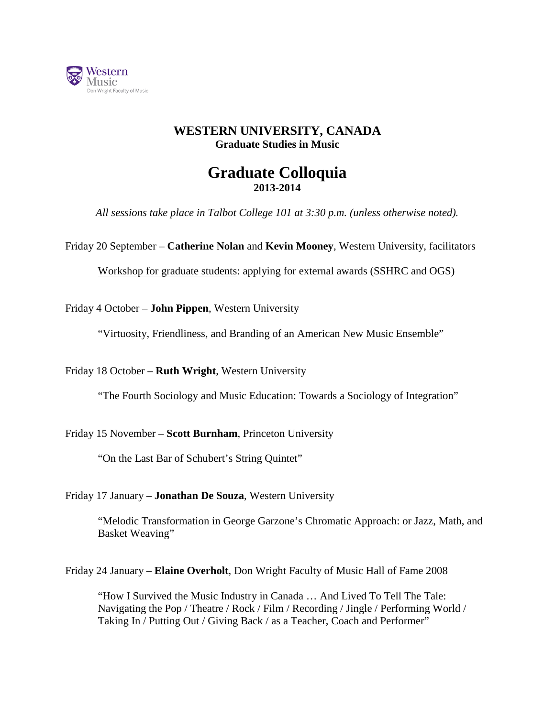

## **WESTERN UNIVERSITY, CANADA Graduate Studies in Music**

## **Graduate Colloquia 2013-2014**

*All sessions take place in Talbot College 101 at 3:30 p.m. (unless otherwise noted).*

Friday 20 September – **Catherine Nolan** and **Kevin Mooney**, Western University, facilitators

Workshop for graduate students: applying for external awards (SSHRC and OGS)

Friday 4 October – **John Pippen**, Western University

"Virtuosity, Friendliness, and Branding of an American New Music Ensemble"

Friday 18 October – **Ruth Wright**, Western University

"The Fourth Sociology and Music Education: Towards a Sociology of Integration"

Friday 15 November – **Scott Burnham**, Princeton University

"On the Last Bar of Schubert's String Quintet"

Friday 17 January – **Jonathan De Souza**, Western University

"Melodic Transformation in George Garzone's Chromatic Approach: or Jazz, Math, and Basket Weaving"

Friday 24 January – **Elaine Overholt**, Don Wright Faculty of Music Hall of Fame 2008

"How I Survived the Music Industry in Canada … And Lived To Tell The Tale: Navigating the Pop / Theatre / Rock / Film / Recording / Jingle / Performing World / Taking In / Putting Out / Giving Back / as a Teacher, Coach and Performer"